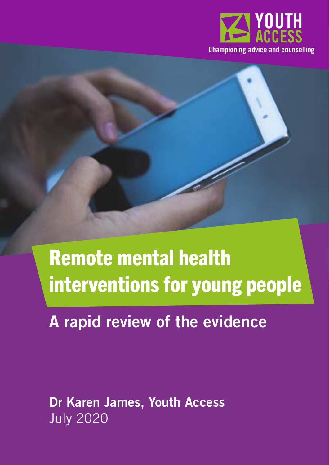

## Remote mental health interventions for young people

## A rapid review of the evidence

Dr Karen James, Youth Access July 2020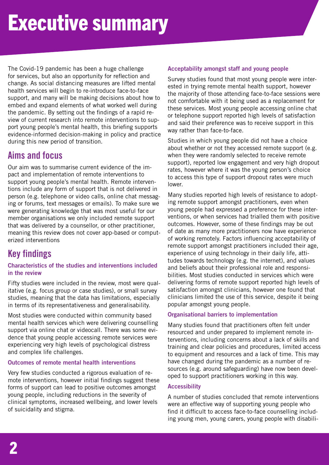The Covid-19 pandemic has been a huge challenge for services, but also an opportunity for reflection and change. As social distancing measures are lifted mental health services will begin to re-introduce face-to-face support, and many will be making decisions about how to embed and expand elements of what worked well during the pandemic. By setting out the findings of a rapid review of current research into remote interventions to support young people's mental health, this briefing supports evidence-informed decision-making in policy and practice during this new period of transition.

## **Aims and focus**

Our aim was to summarise current evidence of the impact and implementation of remote interventions to support young people's mental health. Remote interventions include any form of support that is not delivered in person (e.g. telephone or video calls, online chat messaging or forums, text messages or emails). To make sure we were generating knowledge that was most useful for our member organisations we only included remote support that was delivered by a counsellor, or other practitioner, meaning this review does not cover app-based or computerized interventions

## **Key findings**

#### Characteristics of the studies and interventions included in the review

Fifty studies were included in the review, most were qualitative (e.g. focus group or case studies), or small survey studies, meaning that the data has limitations, especially in terms of its representativeness and generalisability.

Most studies were conducted within community based mental health services which were delivering counselling support via online chat or videocall. There was some evidence that young people accessing remote services were experiencing very high levels of psychological distress and complex life challenges.

#### Outcomes of remote mental health interventions

Very few studies conducted a rigorous evaluation of remote interventions, however initial findings suggest these forms of support can lead to positive outcomes amongst young people, including reductions in the severity of clinical symptoms, increased wellbeing, and lower levels of suicidality and stigma.

#### Acceptability amongst staff and young people

Survey studies found that most young people were interested in trying remote mental health support, however the majority of those attending face-to-face sessions were not comfortable with it being used as a replacement for these services. Most young people accessing online chat or telephone support reported high levels of satisfaction and said their preference was to receive support in this way rather than face-to-face.

Studies in which young people did not have a choice about whether or not they accessed remote support (e.g. when they were randomly selected to receive remote support), reported low engagement and very high dropout rates, however where it was the young person's choice to access this type of support dropout rates were much lower.

Many studies reported high levels of resistance to adopting remote support amongst practitioners, even when young people had expressed a preference for these interventions, or when services had trialled them with positive outcomes. However, some of these findings may be out of date as many more practitioners now have experience of working remotely. Factors influencing acceptability of remote support amongst practitioners included their age, experience of using technology in their daily life, attitudes towards technology (e.g. the internet), and values and beliefs about their professional role and responsibilities. Most studies conducted in services which were delivering forms of remote support reported high levels of satisfaction amongst clinicians, however one found that clinicians limited the use of this service, despite it being popular amongst young people.

#### Organisational barriers to implementation

Many studies found that practitioners often felt under resourced and under prepared to implement remote interventions, including concerns about a lack of skills and training and clear policies and procedures, limited access to equipment and resources and a lack of time. This may have changed during the pandemic as a number of resources (e.g. around safeguarding) have now been developed to support practitioners working in this way.

#### Accessibility

A number of studies concluded that remote interventions were an effective way of supporting young people who find it difficult to access face-to-face counselling including young men, young carers, young people with disabili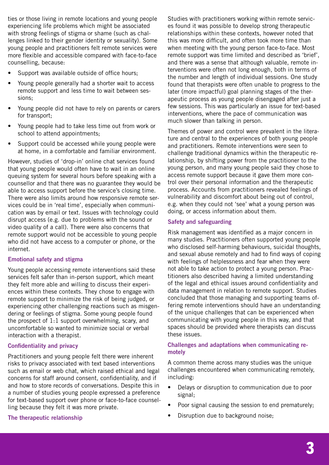ties or those living in remote locations and young people experiencing life problems which might be associated with strong feelings of stigma or shame (such as challenges linked to their gender identity or sexuality). Some young people and practitioners felt remote services were more flexible and accessible compared with face-to-face counselling, because:

- Support was available outside of office hours:
- Young people generally had a shorter wait to access remote support and less time to wait between sessions;
- Young people did not have to rely on parents or carers for transport;
- Young people had to take less time out from work or school to attend appointments;
- Support could be accessed while young people were at home, in a comfortable and familiar environment.

However, studies of 'drop-in' online chat services found that young people would often have to wait in an online queuing system for several hours before speaking with a counsellor and that there was no guarantee they would be able to access support before the service's closing time. There were also limits around how responsive remote services could be in 'real time', especially when communication was by email or text. Issues with technology could disrupt access (e.g. due to problems with the sound or video quality of a call). There were also concerns that remote support would not be accessible to young people who did not have access to a computer or phone, or the internet.

#### Emotional safety and stigma

Young people accessing remote interventions said these services felt safer than in-person support, which meant they felt more able and willing to discuss their experiences within these contexts. They chose to engage with remote support to minimize the risk of being judged, or experiencing other challenging reactions such as misgendering or feelings of stigma. Some young people found the prospect of 1:1 support overwhelming, scary, and uncomfortable so wanted to minimize social or verbal interaction with a therapist.

#### Confidentiality and privacy

Practitioners and young people felt there were inherent risks to privacy associated with text based interventions such as email or web chat, which raised ethical and legal concerns for staff around consent, confidentiality, and if and how to store records of conversations. Despite this in a number of studies young people expressed a preference for text-based support over phone or face-to-face counselling because they felt it was more private.

#### The therapeutic relationship

Studies with practitioners working within remote services found it was possible to develop strong therapeutic relationships within these contexts, however noted that this was more difficult, and often took more time than when meeting with the young person face-to-face. Most remote support was time limited and described as 'brief', and there was a sense that although valuable, remote interventions were often not long enough, both in terms of the number and length of individual sessions. One study found that therapists were often unable to progress to the later (more impactful) goal planning stages of the therapeutic process as young people disengaged after just a few sessions. This was particularly an issue for text-based interventions, where the pace of communication was much slower than talking in person.

Themes of power and control were prevalent in the literature and central to the experiences of both young people and practitioners. Remote interventions were seen to challenge traditional dynamics within the therapeutic relationship, by shifting power from the practitioner to the young person, and many young people said they chose to access remote support because it gave them more control over their personal information and the therapeutic process. Accounts from practitioners revealed feelings of vulnerability and discomfort about being out of control, e.g. when they could not 'see' what a young person was doing, or access information about them.

#### Safety and safeguarding

Risk management was identified as a major concern in many studies. Practitioners often supported young people who disclosed self-harming behaviours, suicidal thoughts, and sexual abuse remotely and had to find ways of coping with feelings of helplessness and fear when they were not able to take action to protect a young person. Practitioners also described having a limited understanding of the legal and ethical issues around confidentiality and data management in relation to remote support. Studies concluded that those managing and supporting teams offering remote interventions should have an understanding of the unique challenges that can be experienced when communicating with young people in this way, and that spaces should be provided where therapists can discuss these issues.

#### Challenges and adaptations when communicating remotely

A common theme across many studies was the unique challenges encountered when communicating remotely, including:

- Delays or disruption to communication due to poor signal;
- Poor signal causing the session to end prematurely;
- Disruption due to background noise;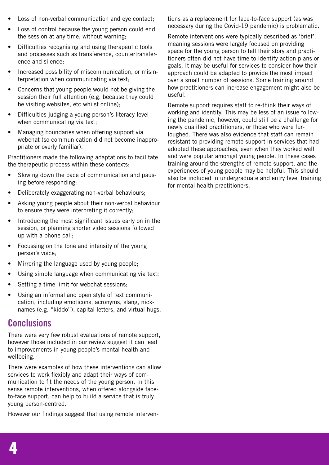- Loss of non-verbal communication and eve contact:
- Loss of control because the young person could end the session at any time, without warning;
- Difficulties recognising and using therapeutic tools and processes such as transference, countertransference and silence;
- Increased possibility of miscommunication, or misinterpretation when communicating via text;
- Concerns that young people would not be giving the session their full attention (e.g. because they could be visiting websites, etc whilst online);
- Difficulties judging a young person's literacy level when communicating via text;
- Managing boundaries when offering support via webchat (so communication did not become inappropriate or overly familiar).

Practitioners made the following adaptations to facilitate the therapeutic process within these contexts:

- Slowing down the pace of communication and pausing before responding;
- Deliberately exaggerating non-verbal behaviours;
- Asking young people about their non-verbal behaviour to ensure they were interpreting it correctly;
- Introducing the most significant issues early on in the session, or planning shorter video sessions followed up with a phone call;
- Focussing on the tone and intensity of the young person's voice;
- Mirroring the language used by young people;
- Using simple language when communicating via text;
- Setting a time limit for webchat sessions;
- Using an informal and open style of text communication, including emoticons, acronyms, slang, nicknames (e.g. "kiddo"), capital letters, and virtual hugs.

#### **Conclusions**

There were very few robust evaluations of remote support, however those included in our review suggest it can lead to improvements in young people's mental health and wellbeing.

There were examples of how these interventions can allow services to work flexibly and adapt their ways of communication to fit the needs of the young person. In this sense remote interventions, when offered alongside faceto-face support, can help to build a service that is truly young person-centred.

However our findings suggest that using remote interven-

tions as a replacement for face-to-face support (as was necessary during the Covid-19 pandemic) is problematic.

Remote interventions were typically described as 'brief', meaning sessions were largely focused on providing space for the young person to tell their story and practitioners often did not have time to identify action plans or goals. It may be useful for services to consider how their approach could be adapted to provide the most impact over a small number of sessions. Some training around how practitioners can increase engagement might also be useful.

Remote support requires staff to re-think their ways of working and identity. This may be less of an issue following the pandemic, however, could still be a challenge for newly qualified practitioners, or those who were furloughed. There was also evidence that staff can remain resistant to providing remote support in services that had adopted these approaches, even when they worked well and were popular amongst young people. In these cases training around the strengths of remote support, and the experiences of young people may be helpful. This should also be included in undergraduate and entry level training for mental health practitioners.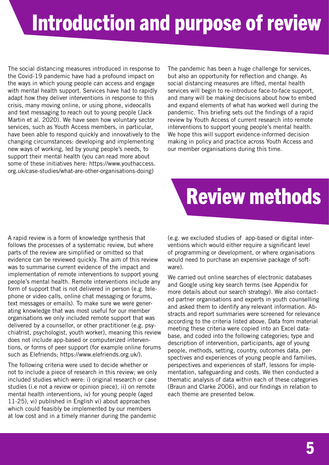# Introduction and purpose of review

The social distancing measures introduced in response to the Covid-19 pandemic have had a profound impact on the ways in which young people can access and engage with mental health support. Services have had to rapidly adapt how they deliver interventions in response to this crisis, many moving online, or using phone, videocalls and text messaging to reach out to young people (Jack Martin et al. 2020). We have seen how voluntary sector services, such as Youth Access members, in particular, have been able to respond quickly and innovatively to the changing circumstances: developing and implementing new ways of working, led by young people's needs, to support their mental health (you can read more about some of these initiatives here: https://www.youthaccess. org.uk/case-studies/what-are-other-organisations-doing)

The pandemic has been a huge challenge for services, but also an opportunity for reflection and change. As social distancing measures are lifted, mental health services will begin to re-introduce face-to-face support, and many will be making decisions about how to embed and expand elements of what has worked well during the pandemic. This briefing sets out the findings of a rapid review by Youth Access of current research into remote interventions to support young people's mental health. We hope this will support evidence-informed decision making in policy and practice across Youth Access and our member organisations during this time.



A rapid review is a form of knowledge synthesis that follows the processes of a systematic review, but where parts of the review are simplified or omitted so that evidence can be reviewed quickly. The aim of this review was to summarise current evidence of the impact and implementation of remote interventions to support young people's mental health. Remote interventions include any form of support that is not delivered in person (e.g. telephone or video calls, online chat messaging or forums, text messages or emails). To make sure we were generating knowledge that was most useful for our member organisations we only included remote support that was delivered by a counsellor, or other practitioner (e.g. psychiatrist, psychologist, youth worker), meaning this review does not include app-based or computerized interventions, or forms of peer support (for example online forums such as Elefriends; https://www.elefriends.org.uk/).

The following criteria were used to decide whether or not to include a piece of research in this review; we only included studies which were: i) original research or case studies (i.e not a review or opinion piece), ii) on remote mental health interventions, iv) for young people (aged 11-25), vi) published in English vi) about approaches which could feasibly be implemented by our members at low cost and in a timely manner during the pandemic

(e.g. we excluded studies of app-based or digital interventions which would either require a significant level of programming or development, or where organisations would need to purchase an expensive package of software).

We carried out online searches of electronic databases and Google using key search terms (see Appendix for more details about our search strategy). We also contacted partner organisations and experts in youth counselling and asked them to identify any relevant information. Abstracts and report summaries were screened for relevance according to the criteria listed above. Data from material meeting these criteria were copied into an Excel database, and coded into the following categories; type and description of intervention, participants, age of young people, methods, setting, country, outcomes data, perspectives and experiences of young people and families, perspectives and experiences of staff, lessons for implementation, safeguarding and costs. We then conducted a thematic analysis of data within each of these categories (Braun and Clarke 2006), and our findings in relation to each theme are presented below.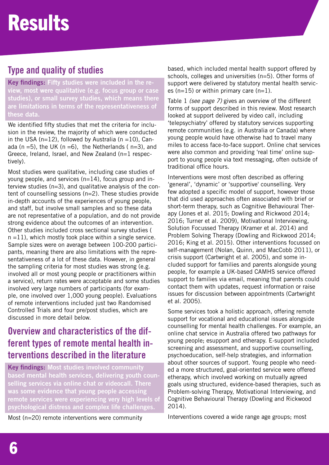## **Type and quality of studies**

Key findings: Fifty studies were included in the review, most were qualitative (e.g. focus group or case studies), or small survey studies, which means there are limitations in terms of the representativeness of these data.

We identified fifty studies that met the criteria for inclusion in the review, the majority of which were conducted in the USA ( $n=12$ ), followed by Australia ( $n = 10$ ), Canada (n =5), the UK (n =6), the Netherlands ( $n=3$ ), and Greece, Ireland, Israel, and New Zealand (n=1 respectively).

Most studies were qualitative, including case studies of young people, and services (n=14), focus group and interview studies (n=3), and qualitative analysis of the content of counselling sessions (n=2). These studies provide in-depth accounts of the experiences of young people, and staff, but involve small samples and so these data are not representative of a population, and do not provide strong evidence about the outcomes of an intervention. Other studies included cross sectional survey studies (  $n = 11$ ), which mostly took place within a single service. Sample sizes were on average between 100-200 participants, meaning there are also limitations with the representativeness of a lot of these data. However, in general the sampling criteria for most studies was strong (e.g. involved all or most young people or practitioners within a service), return rates were acceptable and some studies involved very large numbers of participants (for example, one involved over 1,000 young people). Evaluations of remote interventions included just two Randomised Controlled Trials and four pre/post studies, which are discussed in more detail below.

## **Overview and characteristics of the different types of remote mental health interventions described in the literature**

Key findings: Most studies involved community based mental health services, delivering youth counselling services via online chat or videocall. There was some evidence that young people accessing remote services were experiencing very high levels of psychological distress and complex life challenges.

Most (n=20) remote interventions were community

based, which included mental health support offered by schools, colleges and universities (n=5). Other forms of support were delivered by statutory mental health services ( $n=15$ ) or within primary care ( $n=1$ ).

Table 1 *(see page 7)* gives an overview of the different forms of support described in this review. Most research looked at support delivered by video call, including 'telepsychiatry' offered by statutory services supporting remote communities (e.g. in Australia or Canada) where young people would have otherwise had to travel many miles to access face-to-face support. Online chat services were also common and providing 'real time' online support to young people via text messaging, often outside of traditional office hours.

Interventions were most often described as offering 'general', 'dynamic' or 'supportive' counselling. Very few adopted a specific model of support, however those that did used approaches often associated with brief or short-term therapy, such as Cognitive Behavioural Therapy (Jones et al. 2015; Dowling and Rickwood 2014; 2016; Turner et al. 2009), Motivational Interviewing, Solution Focussed Therapy (Kramer et al. 2014) and Problem Solving Therapy (Dowling and Rickwood 2014; 2016; King et al. 2015). Other interventions focussed on self-management (Nolan, Quinn, and MacCobb 2011), or crisis support (Cartwright et al. 2005), and some included support for families and parents alongside young people, for example a UK-based CAMHS service offered support to families via email, meaning that parents could contact them with updates, request information or raise issues for discussion between appointments (Cartwright et al. 2005).

Some services took a holistic approach, offering remote support for vocational and educational issues alongside counselling for mental health challenges. For example, an online chat service in Australia offered two pathways for young people; esupport and etherapy. E-support included screening and assessment, and supportive counselling, psychoeducation, self-help strategies, and information about other sources of support. Young people who needed a more structured, goal-oriented service were offered etherapy, which involved working on mutually agreed goals using structured, evidence-based therapies, such as Problem-solving Therapy, Motivational Interviewing, and Cognitive Behavioural Therapy (Dowling and Rickwood 2014).

Interventions covered a wide range age groups; most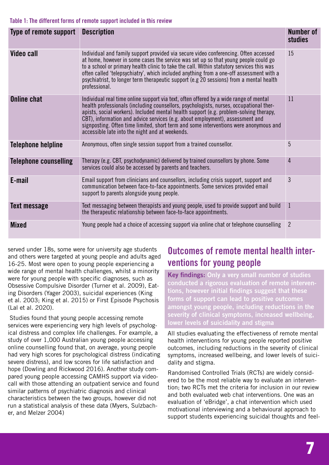| Type of remote support       | <b>Description</b>                                                                                                                                                                                                                                                                                                                                                                                                                                                                                     | Number of<br><b>studies</b> |
|------------------------------|--------------------------------------------------------------------------------------------------------------------------------------------------------------------------------------------------------------------------------------------------------------------------------------------------------------------------------------------------------------------------------------------------------------------------------------------------------------------------------------------------------|-----------------------------|
| <b>Video call</b>            | Individual and family support provided via secure video conferencing. Often accessed<br>at home, however in some cases the service was set up so that young people could go<br>to a school or primary health clinic to take the call. Within statutory services this was<br>often called 'telepsychiatry', which included anything from a one-off assessment with a<br>psychiatrist, to longer term therapeutic support (e.g 20 sessions) from a mental health<br>professional.                        | 15                          |
| <b>Online chat</b>           | Individual real time online support via text, often offered by a wide range of mental<br>health professionals (including counsellors, psychologists, nurses, occupational ther-<br>apists, social workers). Included mental health support (e.g. problem-solving therapy,<br>CBT), information and advice services (e.g. about employment), assessment and<br>signposting. Often time limited, short term and some interventions were anonymous and<br>accessible late into the night and at weekends. | 11                          |
| <b>Telephone helpline</b>    | Anonymous, often single session support from a trained counsellor.                                                                                                                                                                                                                                                                                                                                                                                                                                     | 5                           |
| <b>Telephone counselling</b> | Therapy (e.g. CBT, psychodynamic) delivered by trained counsellors by phone. Some<br>services could also be accessed by parents and teachers.                                                                                                                                                                                                                                                                                                                                                          | $\overline{4}$              |
| E-mail                       | Email support from clinicians and counsellors, including crisis support, support and<br>communication between face-to-face appointments. Some services provided email<br>support to parents alongside young people.                                                                                                                                                                                                                                                                                    | 3                           |
| Text message                 | Text messaging between therapists and young people, used to provide support and build<br>the therapeutic relationship between face-to-face appointments.                                                                                                                                                                                                                                                                                                                                               | $\mathbf{1}$                |
| <b>Mixed</b>                 | Young people had a choice of accessing support via online chat or telephone counselling                                                                                                                                                                                                                                                                                                                                                                                                                | $\overline{2}$              |

served under 18s, some were for university age students and others were targeted at young people and adults aged 16-25. Most were open to young people experiencing a wide range of mental health challenges, whilst a minority were for young people with specific diagnoses, such as Obsessive Compulsive Disorder (Turner et al. 2009), Eating Disorders (Yager 2003), suicidal experiences (King et al. 2003; King et al. 2015) or First Episode Psychosis (Lal et al. 2020).

 Studies found that young people accessing remote services were experiencing very high levels of psychological distress and complex life challenges. For example, a study of over 1,000 Australian young people accessing online counselling found that, on average, young people had very high scores for psychological distress (indicating severe distress), and low scores for life satisfaction and hope (Dowling and Rickwood 2016). Another study compared young people accessing CAMHS support via videocall with those attending an outpatient service and found similar patterns of psychiatric diagnosis and clinical characteristics between the two groups, however did not run a statistical analysis of these data (Myers, Sulzbacher, and Melzer 2004)

## **Outcomes of remote mental health interventions for young people**

Key findings: Only a very small number of studies conducted a rigorous evaluation of remote interventions, however initial findings suggest that these forms of support can lead to positive outcomes amongst young people, including reductions in the severity of clinical symptoms, increased wellbeing, lower levels of suicidality and stigma

All studies evaluating the effectiveness of remote mental health interventions for young people reported positive outcomes, including reductions in the severity of clinical symptoms, increased wellbeing, and lower levels of suicidality and stigma.

Randomised Controlled Trials (RCTs) are widely considered to be the most reliable way to evaluate an intervention; two RCTs met the criteria for inclusion in our review and both evaluated web chat interventions. One was an evaluation of 'eBridge', a chat intervention which used motivational interviewing and a behavioural approach to support students experiencing suicidal thoughts and feel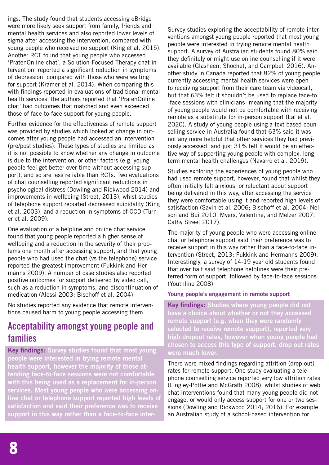ings. The study found that students accessing eBridge were more likely seek support from family, friends and mental health services and also reported lower levels of sigma after accessing the intervention, compared with young people who received no support (King et al. 2015). Another RCT found that young people who accessed 'PratenOnline chat', a Solution-Focused Therapy chat intervention, reported a significant reduction in symptoms of depression, compared with those who were waiting for support (Kramer et al. 2014). When comparing this with findings reported in evaluations of traditional mental health services, the authors reported that 'PratenOnline chat' had outcomes that matched and even exceeded those of face-to-face support for young people.

Further evidence for the effectiveness of remote support was provided by studies which looked at change in outcomes after young people had accessed an intervention (pre/post studies). These types of studies are limited as it is not possible to know whether any change in outcome is due to the intervention, or other factors (e.g. young people feel get better over time without accessing support), and so are less reliable than RCTs. Two evaluations of chat counselling reported significant reductions in psychological distress (Dowling and Rickwood 2014) and improvements in wellbeing (Street, 2013), whist studies of telephone support reported decreased suicidality (King et al. 2003), and a reduction in symptoms of OCD (Turner et al. 2009).

One evaluation of a helpline and online chat service found that young people reported a higher sense of wellbeing and a reduction in the severity of their problems one month after accessing support, and that young people who had used the chat (vs the telephone) service reported the greatest improvement (Fukkink and Hermanns 2009). A number of case studies also reported positive outcomes for support delivered by video call, such as a reduction in symptoms, and discontinuation of medication (Alessi 2003; Bischoff et al. 2004).

No studies reported any evidence that remote interventions caused harm to young people accessing them.

#### **Acceptability amongst young people and families**

Key findings: Survey studies found that most young people were interested in trying remote mental health support, however the majority of those attending face-to-face sessions were not comfortable with this being used as a replacement for in-person services. Most young people who were accessing online chat or telephone support reported high levels of satisfaction and said their preference was to receive support in this way rather than a face-to-face interSurvey studies exploring the acceptability of remote interventions amongst young people reported that most young people were interested in trying remote mental health support. A survey of Australian students found 80% said they definitely or might use online counselling if it were available (Glasheen, Shochet, and Campbell 2016). Another study in Canada reported that 82% of young people currently accessing mental health services were open to receiving support from their care team via videocall, but that 63% felt it shouldn't be used to replace face-to -face sessions with clinicians- meaning that the majority of young people would not be comfortable with receiving remote as a substitute for in-person support (Lal et al. 2020). A study of young people using a text based counselling service in Australia found that 63% said it was not any more helpful that other services they had previously accessed, and just 31% felt it would be an effective way of supporting young people with complex, long term mental health challenges (Navarro et al. 2019).

Studies exploring the experiences of young people who had used remote support, however, found that whilst they often initially felt anxious, or reluctant about support being delivered in this way, after accessing the service they were comfortable using it and reported high levels of satisfaction (Savin et al. 2006; Bischoff et al. 2004; Nelson and Bui 2010; Myers, Valentine, and Melzer 2007; Cathy Street 2017).

The majority of young people who were accessing online chat or telephone support said their preference was to receive support in this way rather than a face-to-face intervention (Street, 2013; Fukkink and Hermanns 2009). Interestingly, a survey of 14-19 year old students found that over half said telephone helplines were their preferred form of support, followed by face-to-face sessions (Youthline 2008)

#### Young people's engagement in remote support

Key findings: Studies where young people did not have a choice about whether or not they accessed remote support (e.g. when they were randomly selected to receive remote support), reported very high dropout rates, however when young people had chosen to access this type of support, drop out rates were much lower.

There were mixed findings regarding attrition (drop out) rates for remote support. One study evaluating a telephone counselling service reported very low attrition rates (Lingley-Pottie and McGrath 2008), whilst studies of web chat interventions found that many young people did not engage, or would only access support for one or two sessions (Dowling and Rickwood 2014; 2016). For example an Australian study of a school-based intervention for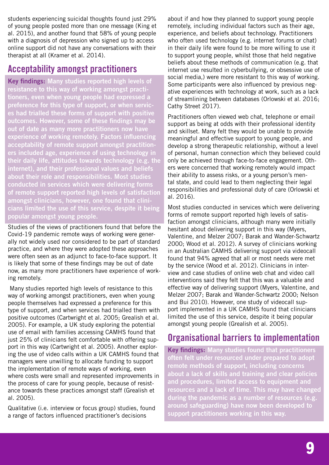students experiencing suicidal thoughts found just 29% of young people posted more than one message (King et al. 2015), and another found that 58% of young people with a diagnosis of depression who signed up to access online support did not have any conversations with their therapist at all (Kramer et al. 2014).

#### **Acceptability amongst practitioners**

Key findings: Many studies reported high levels of resistance to this way of working amongst practitioners, even when young people had expressed a preference for this type of support, or when services had trialled these forms of support with positive outcomes. However, some of these findings may be out of date as many more practitioners now have experience of working remotely. Factors influencing acceptability of remote support amongst practitioners included age, experience of using technology in their daily life, attitudes towards technology (e.g. the internet), and their professional values and beliefs about their role and responsibilities. Most studies conducted in services which were delivering forms of remote support reported high levels of satisfaction amongst clinicians, however, one found that clinicians limited the use of this service, despite it being popular amongst young people.

Studies of the views of practitioners found that before the Covid-19 pandemic remote ways of working were generally not widely used nor considered to be part of standard practice, and where they were adopted these approaches were often seen as an adjunct to face-to-face support. It is likely that some of these findings may be out of date now, as many more practitioners have experience of working remotely.

 Many studies reported high levels of resistance to this way of working amongst practitioners, even when young people themselves had expressed a preference for this type of support, and when services had trialled them with positive outcomes (Cartwright et al. 2005; Grealish et al. 2005). For example, a UK study exploring the potential use of email with families accessing CAMHS found that just 25% of clinicians felt comfortable with offering support in this way (Cartwright et al. 2005). Another exploring the use of video calls within a UK CAMHS found that managers were unwilling to allocate funding to support the implementation of remote ways of working, even where costs were small and represented improvements in the process of care for young people, because of resistance towards these practices amongst staff (Grealish et al. 2005).

Qualitative (i.e. interview or focus group) studies, found a range of factors influenced practitioner's decisions

about if and how they planned to support young people remotely, including individual factors such as their age, experience, and beliefs about technology. Practitioners who often used technology (e.g. internet forums or chat) in their daily life were found to be more willing to use it to support young people, whilst those that held negative beliefs about these methods of communication (e.g. that internet use resulted in cyberbullying, or obsessive use of social media,) were more resistant to this way of working. Some participants were also influenced by previous negative experiences with technology at work, such as a lack of streamlining between databases (Orlowski et al. 2016; Cathy Street 2017).

Practitioners often viewed web chat, telephone or email support as being at odds with their professional identity and skillset. Many felt they would be unable to provide meaningful and effective support to young people, and develop a strong therapeutic relationship, without a level of personal, human connection which they believed could only be achieved through face-to-face engagement. Others were concerned that working remotely would impact their ability to assess risks, or a young person's mental state, and could lead to them neglecting their legal responsibilities and professional duty of care (Orlowski et al. 2016).

Most studies conducted in services which were delivering forms of remote support reported high levels of satisfaction amongst clinicians, although many were initially hesitant about delivering support in this way (Myers, Valentine, and Melzer 2007; Barak and Wander-Schwartz 2000; Wood et al. 2012). A survey of clinicians working in an Australian CAMHS delivering support via videocall found that 94% agreed that all or most needs were met by the service (Wood et al. 2012). Clinicians in interview and case studies of online web chat and video call interventions said they felt that this was a valuable and effective way of delivering support (Myers, Valentine, and Melzer 2007; Barak and Wander-Schwartz 2000; Nelson and Bui 2010). However, one study of videocall support implemented in a UK CAMHS found that clinicians limited the use of this service, despite it being popular amongst young people (Grealish et al. 2005).

### **Organisational barriers to implementation**

Key findings: Many studies found that practitioners often felt under resourced under prepared to adopt remote methods of support, including concerns about a lack of skills and training and clear policies and procedures, limited access to equipment and resources and a lack of time. This may have changed during the pandemic as a number of resources (e.g. around safeguarding) have now been developed to support practitioners working in this way.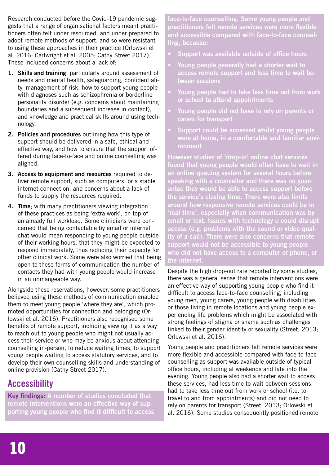Research conducted before the Covid-19 pandemic suggests that a range of organisational factors meant practitioners often felt under resourced, and under prepared to adopt remote methods of support, and so were resistant to using these approaches in their practice (Orlowski et al. 2016; Cartwright et al. 2005; Cathy Street 2017). These included concerns about a lack of;

- 1. Skills and training, particularly around assessment of needs and mental health, safeguarding, confidentiality, management of risk, how to support young people with diagnoses such as schizophrenia or borderline personality disorder (e.g. concerns about maintaining boundaries and a subsequent increase in contact), and knowledge and practical skills around using technology.
- 2. Policies and procedures outlining how this type of support should be delivered in a safe, ethical and effective way, and how to ensure that the support offered during face-to-face and online counselling was aligned.
- 3. Access to equipment and resources required to deliver remote support, such as computers, or a stable internet connection, and concerns about a lack of funds to supply the resources required.
- 4. Time: with many practitioners viewing integration of these practices as being 'extra work', on top of an already full workload. Some clinicians were concerned that being contactable by email or internet chat would mean responding to young people outside of their working hours, that they might be expected to respond immediately, thus reducing their capacity for other clinical work. Some were also worried that being open to these forms of communication the number of contacts they had with young people would increase in an unmangeable way.

Alongside these reservations, however, some practitioners believed using these methods of communication enabled them to meet young people 'where they are', which promoted opportunities for connection and belonging (Orlowski et al. 2016). Practitioners also recognised some benefits of remote support, including viewing it as a way to reach out to young people who might not usually access their service or who may be anxious about attending counselling in-person, to reduce waiting times, to support young people waiting to access statutory services, and to develop their own counselling skills and understanding of online provision (Cathy Street 2017).

## **Accessibility**

Key findings: A number of studies concluded that remote interventions were an effective way of supporting young people who find it difficult to access face-to-face counselling. Some young people and practitioners felt remote services were more flexible and accessible compared with face-to-face counselling, because:

- Support was available outside of office hours
- Young people generally had a shorter wait to access remote support and less time to wait between sessions
- Young people had to take less time out from work or school to attend appointments
- Young people did not have to rely on parents or carers for transport
- Support could be accessed whilst young people were at home, in a comfortable and familiar environment

However studies of 'drop-in' online chat services found that young people would often have to wait in an online queuing system for several hours before speaking with a counsellor and there was no guarantee they would be able to access support before the service's closing time. There were also limits around how responsive remote services could be in 'real time', especially when communication was by email or text. Issues with technology u could disrupt access (e.g. problems with the sound or video quality of a call). There were also concerns that remote support would not be accessible to young people who did not have access to a computer or phone, or the internet.

Despite the high drop-out rate reported by some studies, there was a general sense that remote interventions were an effective way of supporting young people who find it difficult to access face-to-face counselling, including young men, young carers, young people with disabilities or those living in remote locations and young people experiencing life problems which might be associated with strong feelings of stigma or shame such as challenges linked to their gender identity or sexuality (Street, 2013; Orlowski et al. 2016).

Young people and practitioners felt remote services were more flexible and accessible compared with face-to-face counselling as support was available outside of typical office hours, including at weekends and late into the evening. Young people also had a shorter wait to access these services, had less time to wait between sessions, had to take less time out from work or school (i.e. to travel to and from appointments) and did not need to rely on parents for transport (Street, 2013; Orlowski et al. 2016). Some studies consequently positioned remote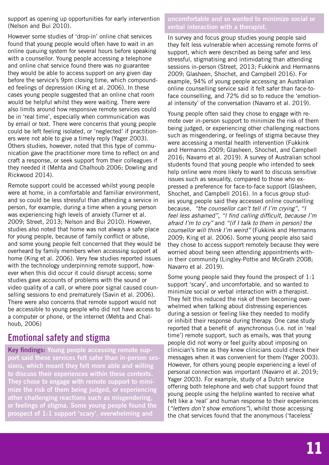support as opening up opportunities for early intervention (Nelson and Bui 2010).

However some studies of 'drop-in' online chat services found that young people would often have to wait in an online queuing system for several hours before speaking with a counsellor. Young people accessing a telephone and online chat service found there was no guarantee they would be able to access support on any given day before the service's 9pm closing time, which compounded feelings of depression (King et al. 2006). In these cases young people suggested that an online chat room would be helpful whilst they were waiting. There were also limits around how responsive remote services could be in 'real time', especially when communication was by email or text. There were concerns that young people could be left feeling isolated, or 'neglected' if practitioners were not able to give a timely reply (Yager 2003). Others studies, however, noted that this type of communication gave the practitioner more time to reflect on and craft a response, or seek support from their colleagues if they needed it (Mehta and Chalhoub 2006; Dowling and Rickwood 2014).

Remote support could be accessed whilst young people were at home, in a comfortable and familiar environment, and so could be less stressful than attending a service in person, for example, during a time when a young person was experiencing high levels of anxiety (Turner et al. 2009; Street, 2013; Nelson and Bui 2010). However, studies also noted that home was not always a safe place for young people, because of family conflict or abuse, and some young people felt concerned that they would be overheard by family members when accessing support at home (King et al. 2006). Very few studies reported issues with the technology underpinning remote support, however when this did occur it could disrupt access; some studies gave accounts of problems with the sound or video quality of a call, or where poor signal caused counselling sessions to end prematurely (Savin et al. 2006). There were also concerns that remote support would not be accessible to young people who did not have access to a computer or phone, or the internet (Mehta and Chalhoub, 2006)

### **Emotional safety and stigma**

Key findings: Young people accessing remote support said these services felt safer than in-person sessions, which meant they felt more able and willing to discuss their experiences within these contexts. They chose to engage with remote support to minimize the risk of them being judged, or experiencing other challenging reactions such as misgendering, or feelings of stigma. Some young people found the prospect of 1:1 support 'scary', overwhelming and

uncomfortable and so wanted to minimize social or verbal interaction with a therapist.

In survey and focus group studies young people said they felt less vulnerable when accessing remote forms of support, which were described as being safer and less stressful, stigmatising and intimidating than attending sessions in-person (Street, 2013; Fukkink and Hermanns 2009; Glasheen, Shochet, and Campbell 2016). For example, 94% of young people accessing an Australian online counselling service said it felt safer than face-toface counselling, and 72% did so to reduce the 'emotional intensity' of the conversation (Navarro et al. 2019).

Young people often said they chose to engage with remote over in-person support to minimize the risk of them being judged, or experiencing other challenging reactions such as misgendering, or feelings of stigma because they were accessing a mental health intervention (Fukkink and Hermanns 2009; Glasheen, Shochet, and Campbell 2016; Navarro et al. 2019). A survey of Australian school students found that young people who intended to seek help online were more likely to want to discuss sensitive issues such as sexuality, compared to those who expressed a preference for face-to-face support (Glasheen, Shochet, and Campbell 2016). In a focus group studies young people said they accessed online counselling because, *"the counsellor can't tell if I'm crying''*, *''I feel less ashamed''*, *"I find calling difficult, because I'm afraid I'm to cry''* and *''(if I talk to them in person) the counsellor will think I'm weird''* (Fukkink and Hermanns 2009; King et al. 2006). Some young people also said they chose to access support remotely because they were worried about being seen attending appointments within their community (Lingley-Pottie and McGrath 2008; Navarro et al. 2019).

Some young people said they found the prospect of 1:1 support 'scary', and uncomfortable, and so wanted to minimize social or verbal interaction with a therapist. They felt this reduced the risk of them becoming overwhelmed when talking about distressing experiences during a session or feeling like they needed to modify or inhibit their response during therapy. One case study reported that a benefit of asynchronous (i.e. not in 'real time') remote support, such as emails, was that young people did not worry or feel guilty about imposing on clinician's time as they knew clinicians could check their messages when it was convenient for them (Yager 2003). However, for others young people experiencing a level of personal connection was important (Navarro et al. 2019; Yager 2003). For example, study of a Dutch service offering both telephone and web chat support found that young people using the helpline wanted to receive what felt like a 'real' and human response to their experiences (*''letters don't show emotions''*), whilst those accessing the chat services found that the anonymous ('faceless'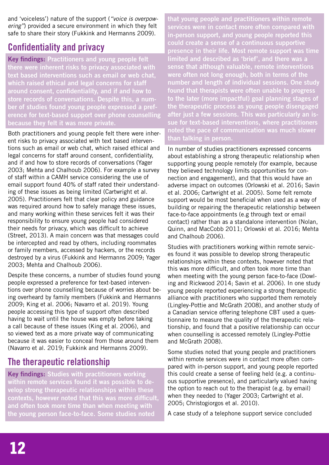and 'voiceless') nature of the support (*''voice is overpowering''*) provided a secure environment in which they felt safe to share their story (Fukkink and Hermanns 2009).

### **Confidentiality and privacy**

Key findings: Practitioners and young people felt there were inherent risks to privacy associated with text based interventions such as email or web chat, which raised ethical and legal concerns for staff around consent, confidentiality, and if and how to store records of conversations. Despite this, a number of studies found young people expressed a preference for text-based support over phone counselling because they felt it was more private.

Both practitioners and young people felt there were inherent risks to privacy associated with text based interventions such as email or web chat, which raised ethical and legal concerns for staff around consent, confidentiality, and if and how to store records of conversations (Yager 2003; Mehta and Chalhoub 2006). For example a survey of staff within a CAMH service considering the use of email support found 40% of staff rated their understanding of these issues as being limited (Cartwright et al. 2005). Practitioners felt that clear policy and guidance was required around how to safely manage these issues, and many working within these services felt it was their responsibility to ensure young people had considered their needs for privacy, which was difficult to achieve (Street, 2013). A main concern was that messages could be intercepted and read by others, including roommates or family members, accessed by hackers, or the records destroyed by a virus (Fukkink and Hermanns 2009; Yager 2003; Mehta and Chalhoub 2006).

Despite these concerns, a number of studies found young people expressed a preference for text-based interventions over phone counselling because of worries about being overheard by family members (Fukkink and Hermanns 2009; King et al. 2006; Navarro et al. 2019). Young people accessing this type of support often described having to wait until the house was empty before taking a call because of these issues (King et al. 2006), and so viewed text as a more private way of communicating because it was easier to conceal from those around them (Navarro et al. 2019; Fukkink and Hermanns 2009).

## **The therapeutic relationship**

Key findings: Studies with practitioners working within remote services found it was possible to develop strong therapeutic relationships within these contexts, however noted that this was more difficult, and often took more time than when meeting with the young person face-to-face. Some studies noted

that young people and practitioners within remote services were in contact more often compared with in-person support, and young people reported this could create a sense of a continuous supportive presence in their life. Most remote support was time limited and described as 'brief', and there was a sense that although valuable, remote interventions were often not long enough, both in terms of the number and length of individual sessions. One study found that therapists were often unable to progress to the later (more impactful) goal planning stages of the therapeutic process as young people disengaged after just a few sessions. This was particularly an issue for text-based interventions, where practitioners noted the pace of communication was much slower than talking in person.

In number of studies practitioners expressed concerns about establishing a strong therapeutic relationship when supporting young people remotely (for example, because they believed technology limits opportunities for connection and engagement), and that this would have an adverse impact on outcomes (Orlowski et al. 2016; Savin et al. 2006; Cartwright et al. 2005). Some felt remote support would be most beneficial when used as a way of building or repairing the therapeutic relationship between face-to-face appointments (e.g through text or email contact) rather than as a standalone intervention (Nolan, Quinn, and MacCobb 2011; Orlowski et al. 2016; Mehta and Chalhoub 2006).

Studies with practitioners working within remote services found it was possible to develop strong therapeutic relationships within these contexts, however noted that this was more difficult, and often took more time than when meeting with the young person face-to-face (Dowling and Rickwood 2014; Savin et al. 2006). In one study young people reported experiencing a strong therapeutic alliance with practitioners who supported them remotely (Lingley-Pottie and McGrath 2008), and another study of a Canadian service offering telephone CBT used a questionnaire to measure the quality of the therapeutic relationship, and found that a positive relationship can occur when counselling is accessed remotely (Lingley-Pottie and McGrath 2008).

Some studies noted that young people and practitioners within remote services were in contact more often compared with in-person support, and young people reported this could create a sense of feeling held (e.g. a continuous supportive presence), and particularly valued having the option to reach out to the therapist (e.g. by email) when they needed to (Yager 2003; Cartwright et al. 2005; Christogiorgos et al. 2010).

A case study of a telephone support service concluded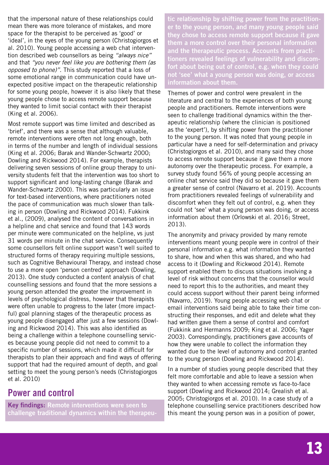that the impersonal nature of these relationships could mean there was more tolerance of mistakes, and more space for the therapist to be perceived as 'good' or 'ideal', in the eyes of the young person (Christogiorgos et al. 2010). Young people accessing a web chat intervention described web counsellors as being *"always nice''*  and that *''you never feel like you are bothering them (as opposed to phone)''*. This study reported that a loss of some emotional range in communication could have unexpected positive impact on the therapeutic relationship for some young people, however it is also likely that these young people chose to access remote support because they wanted to limit social contact with their therapist (King et al. 2006).

Most remote support was time limited and described as 'brief', and there was a sense that although valuable, remote interventions were often not long enough, both in terms of the number and length of individual sessions (King et al. 2006; Barak and Wander-Schwartz 2000; Dowling and Rickwood 2014). For example, therapists delivering seven sessions of online group therapy to university students felt that the intervention was too short to support significant and long-lasting change (Barak and Wander-Schwartz 2000). This was particularly an issue for text-based interventions, where practitioners noted the pace of communication was much slower than talking in person (Dowling and Rickwood 2014). Fukkink et al., (2009), analysed the content of conversations in a helpline and chat service and found that 143 words per minute were communicated on the helpline, vs just 31 words per minute in the chat service. Consequently some counsellors felt online support wasn't well suited to structured forms of therapy requiring multiple sessions, such as Cognitive Behavioural Therapy, and instead chose to use a more open 'person centred' approach (Dowling, 2013). One study conducted a content analysis of chat counselling sessions and found that the more sessions a young person attended the greater the improvement in levels of psychological distress, however that therapists were often unable to progress to the later (more impactful) goal planning stages of the therapeutic process as young people disengaged after just a few sessions (Dowling and Rickwood 2014). This was also identified as being a challenge within a telephone counselling services because young people did not need to commit to a specific number of sessions, which made it difficult for therapists to plan their approach and find ways of offering support that had the required amount of depth, and goal setting to meet the young person's needs (Christogiorgos et al. 2010)

### **Power and control**

Key findings: Remote interventions were seen to challenge traditional dynamics within the therapeutic relationship by shifting power from the practitioner to the young person, and many young people said they chose to access remote support because it gave them a more control over their personal information and the therapeutic process. Accounts from practitioners revealed feelings of vulnerability and discomfort about being out of control, e.g. when they could not 'see' what a young person was doing, or access information about them.

Themes of power and control were prevalent in the literature and central to the experiences of both young people and practitioners. Remote interventions were seen to challenge traditional dynamics within the therapeutic relationship (where the clinician is positioned as the 'expert'), by shifting power from the practitioner to the young person. It was noted that young people in particular have a need for self-determination and privacy (Christogiorgos et al. 2010), and many said they chose to access remote support because it gave them a more autonomy over the therapeutic process. For example, a survey study found 56% of young people accessing an online chat service said they did so because it gave them a greater sense of control (Navarro et al. 2019). Accounts from practitioners revealed feelings of vulnerability and discomfort when they felt out of control, e.g. when they could not 'see' what a young person was doing, or access information about them (Orlowski et al. 2016; Street, 2013).

The anonymity and privacy provided by many remote interventions meant young people were in control of their personal information e.g. what information they wanted to share, how and when this was shared, and who had access to it (Dowling and Rickwood 2014). Remote support enabled them to discuss situations involving a level of risk without concerns that the counsellor would need to report this to the authorities, and meant they could access support without their parent being informed (Navarro, 2019). Young people accessing web chat or email interventions said being able to take their time constructing their responses, and edit and delete what they had written gave them a sense of control and comfort (Fukkink and Hermanns 2009; King et al. 2006; Yager 2003). Correspondingly, practitioners gave accounts of how they were unable to collect the information they wanted due to the level of autonomy and control granted to the young person (Dowling and Rickwood 2014).

In a number of studies young people described that they felt more comfortable and able to leave a session when they wanted to when accessing remote vs face-to-face support (Dowling and Rickwood 2014; Grealish et al. 2005; Christogiorgos et al. 2010). In a case study of a telephone counselling service practitioners described how this meant the young person was in a position of power,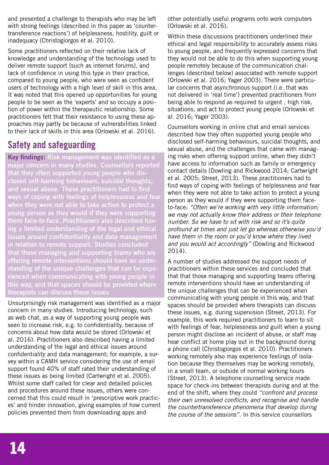and presented a challenge to therapists who may be left with strong feelings (described in this paper as 'countertransference reactions') of helplessness, hostility, guilt or inadequacy (Christogiorgos et al. 2010).

Some practitioners reflected on their relative lack of knowledge and understanding of the technology used to deliver remote support (such as internet forums), and lack of confidence in using this type in their practice, compared to young people, who were seen as confident users of technology with a high level of skill in this area. It was noted that this opened up opportunities for young people to be seen as the 'experts' and so occupy a position of power within the therapeutic relationship. Some practitioners felt that their resistance to using these approaches may partly be because of vulnerabilities linked to their lack of skills in this area (Orlowski et al. 2016).

## **Safety and safeguarding**

Key findings: Risk management was identified as a major concern in many studies. Counsellors reported that they often supported young people who disclosed self-harming behaviours, suicidal thoughts, and sexual abuse. These practitioners had to find ways of coping with feelings of helplessness and fear when they were not able to take action to protect a young person as they would if they were supporting them face-to-face. Practitioners also described having a limited understanding of the legal and ethical issues around confidentiality and data management in relation to remote support. Studies concluded that those managing and supporting teams who are offering remote interventions should have an understanding of the unique challenges that can be experienced when communicating with young people in this way, and that spaces should be provided where therapists can discuss these issues

Unsurprisingly risk management was identified as a major concern in many studies. Introducing technology, such as web chat, as a way of supporting young people was seen to increase risk, e.g. to confidentiality, because of concerns about how data would be stored (Orlowski et al. 2016). Practitioners also described having a limited understanding of the legal and ethical issues around confidentiality and data management; for example, a survey within a CAMH service considering the use of email support found 40% of staff rated their understanding of these issues as being limited (Cartwright et al. 2005). Whilst some staff called for clear and detailed policies and procedures around these issues, others were concerned that this could result in 'prescriptive work practices' and hinder innovation, giving examples of how current policies prevented them from downloading apps and

other potentially useful programs onto work computers (Orlowski et al. 2016).

Within these discussions practitioners underlined their ethical and legal responsibility to accurately assess risks to young people, and frequently expressed concerns that they would not be able to do this when supporting young people remotely because of the communication challenges (described below) associated with remote support (Orlowski et al. 2016; Yager 2003). There were particular concerns that asynchronous support (i.e. that was not delivered in 'real time') prevented practitioners from being able to respond as required to urgent , high risk, situations, and act to protect young people (Orlowski et al. 2016; Yager 2003).

Counsellors working in online chat and email services described how they often supported young people who disclosed self-harming behaviours, suicidal thoughts, and sexual abuse, and the challenges that came with managing risks when offering support online, when they didn't have access to information such as family or emergency contact details (Dowling and Rickwood 2014; Cartwright et al. 2005; Street, 2013). These practitioners had to find ways of coping with feelings of helplessness and fear when they were not able to take action to protect a young person as they would if they were supporting them faceto-face; *"Often we're working with very little information; we may not actually know their address or their telephone number. So we have to sit with risk and so it's quite profound at times and just let go whereas otherwise you'd have them in the room or you'd know where they lived and you would act accordingly"* (Dowling and Rickwood 2014).

A number of studies addressed the support needs of practitioners within these services and concluded that that that those managing and supporting teams offering remote interventions should have an understanding of the unique challenges that can be experienced when communicating with young people in this way, and that spaces should be provided where therapists can discuss these issues, e.g. during supervision (Street, 2013). For example, this work required practitioners to learn to sit with feelings of fear, helplessness and guilt when a young person might disclose an incident of abuse, or staff may hear conflict at home play out in the background during a phone call (Christogiorgos et al. 2010). Practitioners working remotely also may experience feelings of isolation because they themselves may be working remotely, in a small team, or outside of normal working hours (Street, 2013). A telephone counselling service made space for check-ins between therapists during and at the end of the shift, where they could *"confront and process their own unresolved conflicts, and recognise and handle the countertransference phenomena that develop during the course of the sessions"*. In this service counsellors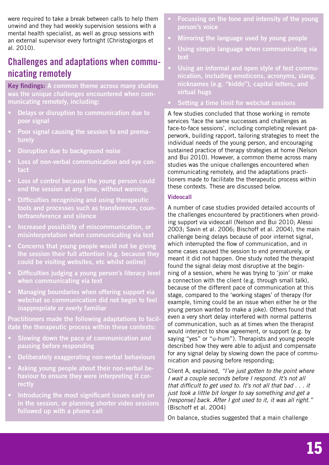were required to take a break between calls to help them unwind and they had weekly supervision sessions with a mental health specialist, as well as group sessions with an external supervisor every fortnight (Christogiorgos et al. 2010).

## **Challenges and adaptations when communicating remotely**

Key findings: A common theme across many studies was the unique challenges encountered when communicating remotely, including:

- Delays or disruption to communication due to poor signal
- Poor signal causing the session to end prematurely
- Disruption due to background noise
- Loss of non-verbal communication and eye contact
- Loss of control because the young person could end the session at any time, without warning.
- Difficulties recognising and using therapeutic tools and processes such as transference, countertransference and silence
- Increased possibility of miscommunication, or misinterpretation when communicating via text
- Concerns that young people would not be giving the session their full attention (e.g. because they could be visiting websites, etc whilst online)
- Difficulties judging a young person's literacy level when communicating via text
- Managing boundaries when offering support via webchat so communication did not begin to feel inappropriate or overly familiar

Practitioners made the following adaptations to facilitate the therapeutic process within these contexts:

- Slowing down the pace of communication and pausing before responding
- Deliberately exaggerating non-verbal behaviours
- Asking young people about their non-verbal behaviour to ensure they were interpreting it correctly
- Introducing the most significant issues early on in the session, or planning shorter video sessions followed up with a phone call
- Focussing on the tone and intensity of the young person's voice
- Mirroring the language used by young people
- Using simple language when communicating via text
- Using an informal and open style of text communication, including emoticons, acronyms, slang, nicknames (e.g. "kiddo"), capital letters, and virtual hugs
- Setting a time limit for webchat sessions

A few studies concluded that those working in remote services 'face the same successes and challenges as face-to-face sessions', including completing relevant paperwork, building rapport, tailoring strategies to meet the individual needs of the young person, and encouraging sustained practice of therapy strategies at home (Nelson and Bui 2010). However, a common theme across many studies was the unique challenges encountered when communicating remotely, and the adaptations practitioners made to facilitate the therapeutic process within these contexts. These are discussed below.

#### Videocall

A number of case studies provided detailed accounts of the challenges encountered by practitioners when providing support via videocall (Nelson and Bui 2010; Alessi 2003; Savin et al. 2006; Bischoff et al. 2004), the main challenge being delays because of poor internet signal, which interrupted the flow of communication, and in some cases caused the session to end prematurely, or meant it did not happen. One study noted the therapist found the signal delay most disruptive at the beginning of a session, where he was trying to 'join' or make a connection with the client (e.g. through small talk), because of the different pace of communication at this stage, compared to the 'working stages' of therapy (for example, timing could be an issue when either he or the young person wanted to make a joke). Others found that even a very short delay interfered with normal patterns of communication, such as at times when the therapist would interject to show agreement, or support (e.g. by saying "yes" or "u-hum"). Therapists and young people described how they were able to adjust and compensate for any signal delay by slowing down the pace of communication and pausing before responding;

Client A, explained, *"I've just gotten to the point where I wait a couple seconds before I respond. It's not all that difficult to get used to. It's not all that bad . . . it just took a little bit longer to say something and get a [response] back. After I got used to it, it was all right."*  (Bischoff et al. 2004)

On balance, studies suggested that a main challenge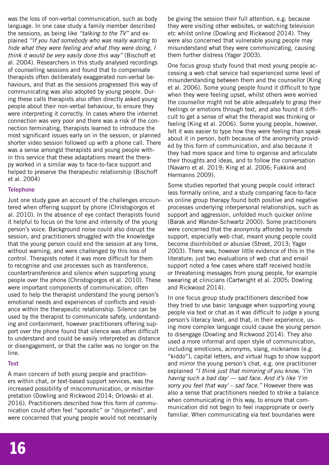was the loss of non-verbal communication, such as body language. In one case study a family member described the sessions, as being like *"talking to the TV"* and explained *"If you had somebody who was really wanting to hide what they were feeling and what they were doing, I think it would be very easily done this way"* (Bischoff et al. 2004). Researchers in this study analysed recordings of counselling sessions and found that to compensate therapists often deliberately exaggerated non-verbal behaviours, and that as the sessions progressed this way of communicating was also adopted by young people. During these calls therapists also often directly asked young people about their non-verbal behaviour, to ensure they were interpreting it correctly. In cases where the internet connection was very poor and there was a risk of the connection terminating, therapists learned to introduce the most significant issues early on in the session, or planned shorter video session followed up with a phone call. There was a sense amongst therapists and young people within this service that these adaptations meant the therapy worked in a similar way to face-to-face support and helped to preserve the therapeutic relationship (Bischoff et al. 2004)

#### **Telephone**

Just one study gave an account of the challenges encountered when offering support by phone (Christogiorgos et al. 2010). In the absence of eye contact therapists found it helpful to focus on the tone and intensity of the young person's voice. Background noise could also disrupt the session, and practitioners struggled with the knowledge that the young person could end the session at any time, without warning, and were challenged by this loss of control. Therapists noted it was more difficult for them to recognise and use processes such as transference, countertransference and silence when supporting young people over the phone (Christogiorgos et al. 2010). These were important components of communication, often used to help the therapist understand the young person's emotional needs and experiences of conflicts and resistance within the therapeutic relationship. Silence can be used by the therapist to communicate safety, understanding and containment, however practitioners offering support over the phone found that silence was often difficult to understand and could be easily interpreted as distance or disengagement, or that the caller was no longer on the line.

#### **Text**

A main concern of both young people and practitioners within chat, or text-based support services, was the increased possibility of miscommunication, or misinterpretation (Dowling and Rickwood 2014; Orlowski et al. 2016). Practitioners described how this form of communication could often feel "sporadic" or "disjointed", and were concerned that young people would not necessarily be giving the session their full attention, e.g. because they were visiting other websites, or watching television etc whilst online (Dowling and Rickwood 2014). They were also concerned that vulnerable young people may misunderstand what they were communicating, causing them further distress (Yager 2003).

One focus group study found that most young people accessing a web chat service had experienced some level of misunderstanding between them and the counsellor (King et al. 2006). Some young people found it difficult to type when they were feeling upset, whilst others were worried the counsellor might not be able adequately to grasp their feelings or emotions through text, and also found it difficult to get a sense of what the therapist was thinking or feeling (King et al. 2006). Some young people, however, felt it was easier to type how they were feeling than speak about it in person, both because of the anonymity provided by this form of communication, and also because it they had more space and time to organise and articulate their thoughts and ideas, and to follow the conversation (Navarro et al. 2019; King et al. 2006; Fukkink and Hermanns 2009).

Some studies reported that young people could interact less formally online, and a study comparing face-to-face vs online group therapy found both positive and negative processes underlying interpersonal relationships, such as support and aggression, unfolded much quicker online (Barak and Wander-Schwartz 2000). Some practitioners were concerned that the anonymity afforded by remote support, especially web chat, meant young people could become disinhibited or abusive (Street, 2013; Yager 2003). There was, however little evidence of this in the literature; just two evaluations of web chat and email support noted a few cases where staff received hostile or threatening messages from young people, for example swearing at clinicians (Cartwright et al. 2005; Dowling and Rickwood 2014).

In one focus group study practitioners described how they tried to use basic language when supporting young people via text or chat as it was difficult to judge a young person's literacy level, and that, in their experience, using more complex language could cause the young person to disengage (Dowling and Rickwood 2014). They also used a more informal and open style of communication, including emoticons, acronyms, slang, nicknames (e.g. "kiddo"), capital letters, and virtual hugs to show support and mirror the young person's chat, e.g. one practitioner explained *"I think just that mirroring of you know, 'I'm having such a bad day' — sad face. And it's like 'I'm sorry you feel that way' – sad face."* However there was also a sense that practitioners needed to strike a balance when communicating in this way, to ensure that communication did not begin to feel inappropriate or overly familiar. When communicating via text boundaries were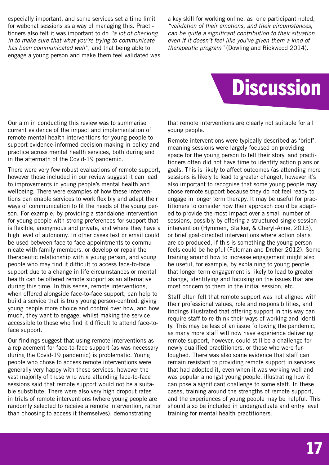especially important, and some services set a time limit for webchat sessions as a way of managing this. Practitioners also felt it was important to do *"a lot of checking in to make sure that what you're trying to communicate has been communicated well"*, and that being able to engage a young person and make them feel validated was a key skill for working online, as one participant noted, *"validation of their emotions, and their circumstances, can be quite a significant contribution to their situation even if it doesn't feel like you've given them a kind of therapeutic program"* (Dowling and Rickwood 2014).



Our aim in conducting this review was to summarise current evidence of the impact and implementation of remote mental health interventions for young people to support evidence-informed decision making in policy and practice across mental health services, both during and in the aftermath of the Covid-19 pandemic.

There were very few robust evaluations of remote support, however those included in our review suggest it can lead to improvements in young people's mental health and wellbeing. There were examples of how these interventions can enable services to work flexibly and adapt their ways of communication to fit the needs of the young person. For example, by providing a standalone intervention for young people with strong preferences for support that is flexible, anonymous and private, and where they have a high level of autonomy. In other cases text or email could be used between face to face appointments to communicate with family members, or develop or repair the therapeutic relationship with a young person, and young people who may find it difficult to access face-to-face support due to a change in life circumstances or mental health can be offered remote support as an alternative during this time. In this sense, remote interventions, when offered alongside face-to-face support, can help to build a service that is truly young person-centred, giving young people more choice and control over how, and how much, they want to engage, whilst making the service accessible to those who find it difficult to attend face-toface support.

Our findings suggest that using remote interventions as a replacement for face-to-face support (as was necessary during the Covid-19 pandemic) is problematic. Young people who chose to access remote interventions were generally very happy with these services, however the vast majority of those who were attending face-to-face sessions said that remote support would not be a suitable substitute. There were also very high dropout rates in trials of remote interventions (where young people are randomly selected to receive a remote intervention, rather than choosing to access it themselves), demonstrating

that remote interventions are clearly not suitable for all young people.

Remote interventions were typically described as 'brief', meaning sessions were largely focused on providing space for the young person to tell their story, and practitioners often did not have time to identify action plans or goals. This is likely to affect outcomes (as attending more sessions is likely to lead to greater change), however it's also important to recognise that some young people may chose remote support because they do not feel ready to engage in longer term therapy. It may be useful for practitioners to consider how their approach could be adapted to provide the most impact over a small number of sessions, possibly by offering a structured single session intervention (Hymmen, Stalker, & Cheryl-Anne, 2013), or brief goal-directed interventions where action plans are co-produced, if this is something the young person feels could be helpful (Feldman and Dreher 2012). Some training around how to increase engagement might also be useful, for example, by explaining to young people that longer term engagement is likely to lead to greater change, identifying and focusing on the issues that are most concern to them in the initial session, etc.

Staff often felt that remote support was not aligned with their professional values, role and responsibilities, and findings illustrated that offering support in this way can require staff to re-think their ways of working and identity. This may be less of an issue following the pandemic, as many more staff will now have experience delivering remote support, however, could still be a challenge for newly qualified practitioners, or those who were furloughed. There was also some evidence that staff can remain resistant to providing remote support in services that had adopted it, even when it was working well and was popular amongst young people, illustrating how it can pose a significant challenge to some staff. In these cases, training around the strengths of remote support, and the experiences of young people may be helpful. This should also be included in undergraduate and entry level training for mental health practitioners.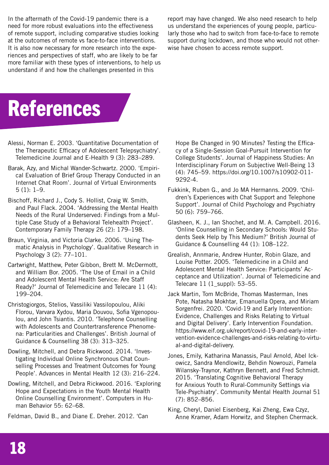In the aftermath of the Covid-19 pandemic there is a need for more robust evaluations into the effectiveness of remote support, including comparative studies looking at the outcomes of remote vs face-to-face interventions. It is also now necessary for more research into the experiences and perspectives of staff, who are likely to be far more familiar with these types of interventions, to help us understand if and how the challenges presented in this

report may have changed. We also need research to help us understand the experiences of young people, particularly those who had to switch from face-to-face to remote support during lockdown, and those who would not otherwise have chosen to access remote support.

## **References**

- Alessi, Norman E. 2003. 'Quantitative Documentation of the Therapeutic Efficacy of Adolescent Telepsychiatry'. Telemedicine Journal and E-Health 9 (3): 283–289.
- Barak, Azy, and Michal Wander-Schwartz. 2000. 'Empirical Evaluation of Brief Group Therapy Conducted in an Internet Chat Room'. Journal of Virtual Environments 5 (1): 1–9.
- Bischoff, Richard J., Cody S. Hollist, Craig W. Smith, and Paul Flack. 2004. 'Addressing the Mental Health Needs of the Rural Underserved: Findings from a Multiple Case Study of a Behavioral Telehealth Project'. Contemporary Family Therapy 26 (2): 179–198.
- Braun, Virginia, and Victoria Clarke. 2006. 'Using Thematic Analysis in Psychology'. Qualitative Research in Psychology 3 (2): 77–101.
- Cartwright, Matthew, Peter Gibbon, Brett M. McDermott, and William Bor. 2005. 'The Use of Email in a Child and Adolescent Mental Health Service: Are Staff Ready?' Journal of Telemedicine and Telecare 11 (4): 199–204.
- Christogiorgos, Stelios, Vassiliki Vassilopoulou, Aliki Florou, Varvara Xydou, Maria Douvou, Sofia Vgenopoulou, and John Tsiantis. 2010. 'Telephone Counselling with Adolescents and Countertransference Phenomena: Particularities and Challenges'. British Journal of Guidance & Counselling 38 (3): 313–325.
- Dowling, Mitchell, and Debra Rickwood. 2014. 'Investigating Individual Online Synchronous Chat Counselling Processes and Treatment Outcomes for Young People'. Advances in Mental Health 12 (3): 216–224.
- Dowling, Mitchell, and Debra Rickwood. 2016. 'Exploring Hope and Expectations in the Youth Mental Health Online Counselling Environment'. Computers in Human Behavior 55: 62–68.

Feldman, David B., and Diane E. Dreher. 2012. 'Can

Hope Be Changed in 90 Minutes? Testing the Efficacy of a Single-Session Goal-Pursuit Intervention for College Students'. Journal of Happiness Studies: An Interdisciplinary Forum on Subjective Well-Being 13 (4): 745–59. https://doi.org/10.1007/s10902-011- 9292-4.

- Fukkink, Ruben G., and Jo MA Hermanns. 2009. 'Children's Experiences with Chat Support and Telephone Support'. Journal of Child Psychology and Psychiatry 50 (6): 759–766.
- Glasheen, K. J., Ian Shochet, and M. A. Campbell. 2016. 'Online Counselling in Secondary Schools: Would Students Seek Help by This Medium?' British Journal of Guidance & Counselling 44 (1): 108–122.
- Grealish, Annmarie, Andrew Hunter, Robin Glaze, and Louise Potter. 2005. 'Telemedicine in a Child and Adolescent Mental Health Service: Participants' Acceptance and Utilization'. Journal of Telemedicine and Telecare 11 (1\_suppl): 53–55.
- Jack Martin, Tom McBride, Thomas Masterman, Ines Pote, Natasha Mokhtar, Emanuella Opera, and Miriam Sorgenfrei. 2020. 'Covid-19 and Early Intervention: Evidence, Challenges and Risks Relating to Virtual and Digital Delivery'. Early Intervention Foundation. https://www.eif.org.uk/report/covid-19-and-early-intervention-evidence-challenges-and-risks-relating-to-virtual-and-digital-delivery.
- Jones, Emily, Katharina Manassis, Paul Arnold, Abel Ickowicz, Sandra Mendlowitz, Behdin Nowrouzi, Pamela Wilansky-Traynor, Kathryn Bennett, and Fred Schmidt. 2015. 'Translating Cognitive Behavioral Therapy for Anxious Youth to Rural-Community Settings via Tele-Psychiatry'. Community Mental Health Journal 51 (7): 852–856.
- King, Cheryl, Daniel Eisenberg, Kai Zheng, Ewa Czyz, Anne Kramer, Adam Horwitz, and Stephen Chermack.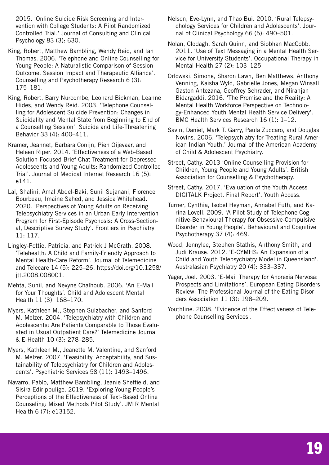2015. 'Online Suicide Risk Screening and Intervention with College Students: A Pilot Randomized Controlled Trial.' Journal of Consulting and Clinical Psychology 83 (3): 630.

- King, Robert, Matthew Bambling, Wendy Reid, and Ian Thomas. 2006. 'Telephone and Online Counselling for Young People: A Naturalistic Comparison of Session Outcome, Session Impact and Therapeutic Alliance'. Counselling and Psychotherapy Research 6 (3): 175–181.
- King, Robert, Barry Nurcombe, Leonard Bickman, Leanne Hides, and Wendy Reid. 2003. 'Telephone Counselling for Adolescent Suicide Prevention: Changes in Suicidality and Mental State from Beginning to End of a Counselling Session'. Suicide and Life-Threatening Behavior 33 (4): 400–411.
- Kramer, Jeannet, Barbara Conijn, Pien Oijevaar, and Heleen Riper. 2014. 'Effectiveness of a Web-Based Solution-Focused Brief Chat Treatment for Depressed Adolescents and Young Adults: Randomized Controlled Trial'. Journal of Medical Internet Research 16 (5): e141.
- Lal, Shalini, Amal Abdel-Baki, Sunil Sujanani, Florence Bourbeau, Imaine Sahed, and Jessica Whitehead. 2020. 'Perspectives of Young Adults on Receiving Telepsychiatry Services in an Urban Early Intervention Program for First-Episode Psychosis: A Cross-Sectional, Descriptive Survey Study'. Frontiers in Psychiatry 11: 117.
- Lingley-Pottie, Patricia, and Patrick J McGrath. 2008. 'Telehealth: A Child and Family-Friendly Approach to Mental Health-Care Reform'. Journal of Telemedicine and Telecare 14 (5): 225–26. https://doi.org/10.1258/ jtt.2008.008001.
- Mehta, Sunil, and Nevyne Chalhoub. 2006. 'An E-Mail for Your Thoughts'. Child and Adolescent Mental Health 11 (3): 168–170.
- Myers, Kathleen M., Stephen Sulzbacher, and Sanford M. Melzer. 2004. 'Telepsychiatry with Children and Adolescents: Are Patients Comparable to Those Evaluated in Usual Outpatient Care?' Telemedicine Journal & E-Health 10 (3): 278–285.
- Myers, Kathleen M., Jeanette M. Valentine, and Sanford M. Melzer. 2007. 'Feasibility, Acceptability, and Sustainability of Telepsychiatry for Children and Adolescents'. Psychiatric Services 58 (11): 1493–1496.
- Navarro, Pablo, Matthew Bambling, Jeanie Sheffield, and Sisira Edirippulige. 2019. 'Exploring Young People's Perceptions of the Effectiveness of Text-Based Online Counseling: Mixed Methods Pilot Study'. JMIR Mental Health 6 (7): e13152.
- Nelson, Eve-Lynn, and Thao Bui. 2010. 'Rural Telepsychology Services for Children and Adolescents'. Journal of Clinical Psychology 66 (5): 490–501.
- Nolan, Clodagh, Sarah Quinn, and Siobhan MacCobb. 2011. 'Use of Text Messaging in a Mental Health Service for University Students'. Occupational Therapy in Mental Health 27 (2): 103–125.
- Orlowski, Simone, Sharon Lawn, Ben Matthews, Anthony Venning, Kaisha Wyld, Gabrielle Jones, Megan Winsall, Gaston Antezana, Geoffrey Schrader, and Niranjan Bidargaddi. 2016. 'The Promise and the Reality: A Mental Health Workforce Perspective on Technology-Enhanced Youth Mental Health Service Delivery'. BMC Health Services Research 16 (1): 1–12.
- Savin, Daniel, Mark T. Garry, Paula Zuccaro, and Douglas Novins. 2006. 'Telepsychiatry for Treating Rural American Indian Youth.' Journal of the American Academy of Child & Adolescent Psychiatry.
- Street, Cathy. 2013 'Online Counselling Provision for Children, Young People and Young Adults'. British Association for Counselling & Psychotherapy.
- Street, Cathy. 2017. 'Evaluation of the Youth Access DIGITALK Project. Final Report'. Youth Access.
- Turner, Cynthia, Isobel Heyman, Annabel Futh, and Karina Lovell. 2009. 'A Pilot Study of Telephone Cognitive-Behavioural Therapy for Obsessive-Compulsive Disorder in Young People'. Behavioural and Cognitive Psychotherapy 37 (4): 469.
- Wood, Jennylee, Stephen Stathis, Anthony Smith, and Judi Krause. 2012. 'E-CYMHS: An Expansion of a Child and Youth Telepsychiatry Model in Queensland'. Australasian Psychiatry 20 (4): 333–337.
- Yager, Joel. 2003. 'E-Mail Therapy for Anorexia Nervosa: Prospects and Limitations'. European Eating Disorders Review: The Professional Journal of the Eating Disorders Association 11 (3): 198–209.
- Youthline. 2008. 'Evidence of the Effectiveness of Telephone Counselling Services'.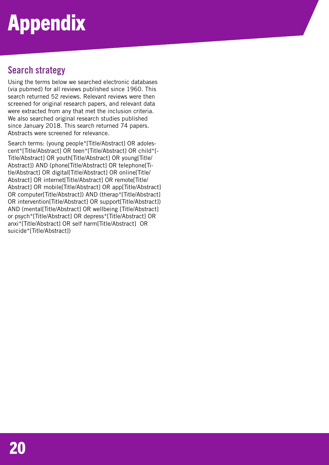# Appendix

## **Search strategy**

Using the terms below we searched electronic databases (via pubmed) for all reviews published since 1960. This search returned 52 reviews. Relevant reviews were then screened for original research papers, and relevant data were extracted from any that met the inclusion criteria. We also searched original research studies published since January 2018. This search returned 74 papers. Abstracts were screened for relevance.

Search terms: (young people\*[Title/Abstract] OR adolescent\*[Title/Abstract] OR teen\*[Title/Abstract] OR child\*[- Title/Abstract] OR youth[Title/Abstract] OR young[Title/ Abstract]) AND (phone[Title/Abstract] OR telephone[Title/Abstract] OR digital[Title/Abstract] OR online[Title/ Abstract] OR internet[Title/Abstract] OR remote[Title/ Abstract] OR mobile[Title/Abstract] OR app[Title/Abstract] OR computer[Title/Abstract]) AND (therap\*[Title/Abstract] OR intervention[Title/Abstract] OR support[Title/Abstract]) AND (mental[Title/Abstract] OR wellbeing [Title/Abstract] or psych\*[Title/Abstract] OR depress\*[Title/Abstract] OR anxi\*[Title/Abstract] OR self harm[Title/Abstract] OR suicide\*[Title/Abstract])